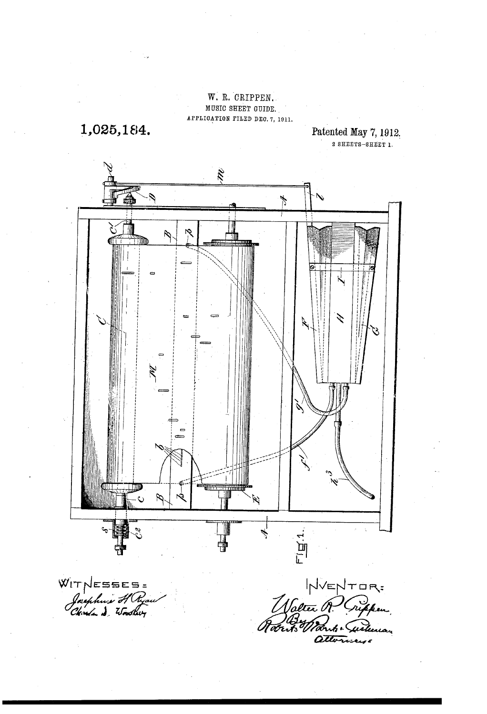# W. R. CRIPPEN. MUSIC SEEET GUIDE, APPLICATION FILED DE0. 7, 1911.

1,025,184.

Patented May 7, 1912.<br>2 SHEETS-SHEET 1.



attori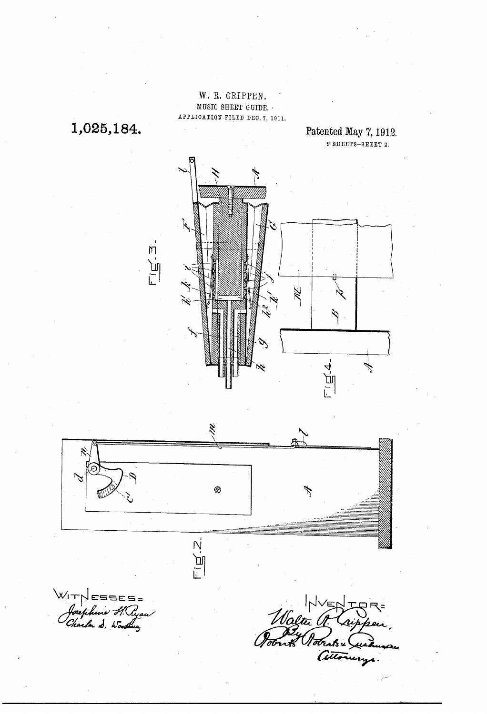# W. R. CRIPPEN. MUSIC SHEET GUIDE. APPLICATION FILED DEC. 7, 1911.

1,025,184.

Patented May 7, 1912.  $2$  SHEETS-SHEET 2.





WIT ESSES=<br>Josephune S. Ryau

Maltin A Lupp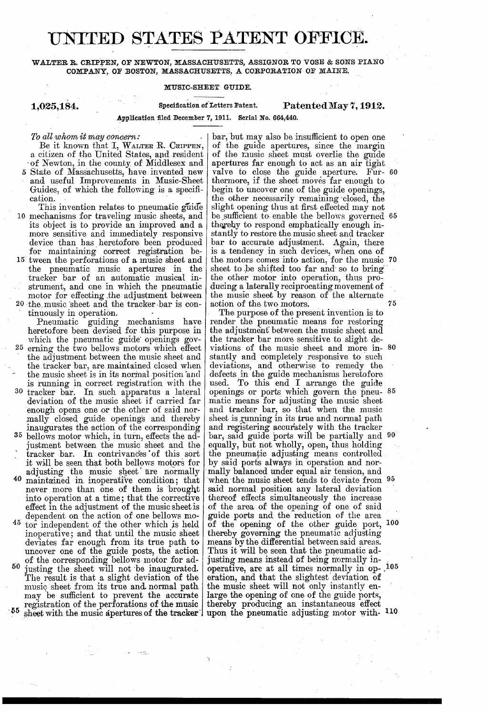# UNITED STATES PATENT OFFICE.

### WALTER R. CRIPPEN, OF NEWTON, MASSACHUSETTS, ASSIGNOR TO VOSE & SONS PIANO COMPANY, OF BOSTON, MASSACHUSETTS, A CORPORATION OF MAINE,

#### MUSIC-SHEET GUIDE.

# 1,025,184. Specification of Letters Patent. Patented May 7, 1912.

Application filed December 7, 1911. Serial No. 664,440.

# To all whom it may concern;

Be it known that I, WALTER R. CRIPPEN, a citizen of the United States, and resident of Newton, in the county of Middlesex and

and useful Improvements in Music-Sheet Guides, of which the following is a specification.<br>This invention relates to pneumatic guide

10 mechanisms for traveling music sheets, and its object is to provide an improved and a more sensitive and immediately responsive device than has heretofore been produced<br>for maintaining correct registration be-<br>15 tween the perforations of a music sheet and

strument, and one in which the pneumatic<br>motor for effecting the adjustment between<br>20 the music sheet and the tracker bar is conthe pneumatic music apertures in the tracker bar of an automatic musical in

tinuously in operation.<br>
Pneumatic guiding mechanisms have<br>
heretofore been devised for this purpose in heretofore been devised for this purpose in which the pneumatic guide openings governing the two bellows motors which effect the adjustment between the music sheet and 25 the tracker bar, are maintained closed when<br>the music sheet is in its normal position and is running in correct registration with the 30 tracker bar. In such apparatus a lateral deviation of the music sheet if carried far enough opens one or the other of said nor-<br>mally closed guide openings and thereby<br>inaugurates the action of the corresponding<br>35 bellows motor which, in turn, effects the ad-<br>iustment between the music sheet and the tracker bar. In contrivances of this sort it will be seen that both bellows motors for 40 it will be seen that both bellows motors for adjusting the music sheet are normally maintained in inoperative condition; that never more than one of them is brought into operation at a time; that the corrective effect in the adjustment of the music sheet is dependent on the action of one bellows mo-<br>tor independent of the other which is held 45 inoperative; and that until the music sheet deviates far enough from its true path to uncover one of the guide posts, the action of the corresponding bellows motor for adjusting the sheet will not be inaugurated.<br>The result is that a slight deviation of the 50 music sheet from its true and normal path may be sufficient to prevent the accurate registration of the perforations of the music

 $-55$ sheet with the music apertures of the tracker

bar, but may also be insufficient to open one of the guide apertures, since the margin of the music sheet must overlie the guide apertures far enough to act as an air tight. valve to close the guide aperture. Fur- 60 thermore, if the sheet moves far enough to begin to uncover one of the guide openings, the other necessarily remaining closed, the slight opening thus at first effected may not thereby to respond emphatically enough instantly to restore the music sheet and tracker bar to accurate adjustment. Again, there is a tendency in such devices, when one of 70 sheet to be shifted too far and so to bring the other motor into operation, thus producing a laterally reciprocating movement of the music sheet by reason of the alternate be sufficient to enable the bellows governed 65 75

The purpose of the present invention is to render the pneumatic means for restoring the adjustment between the music sheet and the tracker bar more sensitive to slight de viations of the music sheet and more in stantly and completely responsive to such deviations, and otherwise to remedy the defects in the guide mechanisms heretoric used. To this end I arrange the guide openings or ports which govern the pneumatic means for adjusting the music sheet and tracker bar, so that when the music<br>sheet is running in its true and normal path<br>and registering accurately with the tracker equally, but not wholly, open, thus holding<br>the pneumatic adjusting means controlled 80 openings or ports which govern the pneu- 85 bar, said guide ports will be partially and 90 by said ports always in operation and normally balanced under equal air tension, and when the music sheet tends to deviate from 95 said normal position any lateral deviation<br>thereof effects simultaneously the increase<br>of the area of the opening of one of said of the area of the opening of one of said guide ports and the reduction of the area of the opening of the other guide port, thereby governing the pneumatic adjusting means by the differential between said areas.<br>Thus it will be seen that the pneumatic ad-<br>justing means instead of being normally in-<br>operative, are at all times normally in op-. 1<br>eration, and that the slightest deviation the music sheet will not only instantly enlarge the opening of one of the guide ports, large the opening of one of the guide ports, thereby producing an instantaneous effect upon the pneumatic adjusting motor with  $10$ 00 105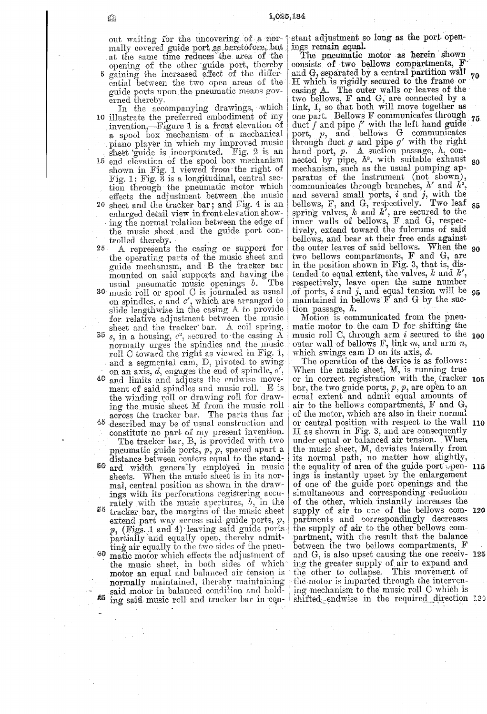out waiting for the uncovering of a normally covered guide port as heretofore, but<br>at the same time reduces the area of the opening of the other guide port, thereby<br>gaining the increased effect of the differential between the two open areas of the guide ports upon the pneumatic means governed thereby.

In the accompanying drawings, which 10 illustrate the preferred embodiment of my invention,—Figure 1 is a front elevation of a spool box mechanism of a mechanical piano player in which my improved music<br>sheet 'guide is incorporated. Fig. 2 is an<br>15 end elevation of the spool box mechanism shown in Fig. 1 viewed from the right of<br>Fig. 1; Fig. 3 is a longitudinal, central section through the pneumatic motor which effects the adjustment between the music 20 sheet and the tracker bar; and Fig. 4 is an enlarged detail view in front elevation showing the normal relation between the edge of the music sheet and the guide port controlled thereby.

25 A represents the casing or support for the operating parts of the music sheet and<br>guide mechanism, and B the tracker bar mounted on said supports and having the<br>usual pneumatic music openings  $b$ . The usual pneumatic music openings  $b$ . 30 music roll or spool C is journaled as usual on spindles,  $c$  and  $c'$ , which are arranged to slide lengthwise in the casing A to provide for relative adjustment between the music sheet and the tracker bar. A coil spring, 35  $s$ , in a housing,  $c^2$ , secured to the casing  $\overline{A}$ normally urges the spindles and the music roll C toward the right as viewed in Fig. 1, and a segmental cam, D, pivoted to swing on an axis,  $d$ , engages the end of spindle,  $c'$ ,  $40\,$ and limits and adjusts the endwise movement of said spindles and music roll. E is the winding roll or drawing roll for drawing the music sheet M from the music roll across the tracker bar. The parts thus far 45 described may be of usual construction and<br>constitute no part of my present invention. The tracker bar, B, is provided with two pneumatic guide ports,  $p, p$ , spaced apart a distance between centers equal to the stand-50 ard width generally employed in music sheets. When the music sheet is in its normal, central position as shown in the drawings with its perforations registering accurately with the music apertures,  $b$ , in the <sup>55</sup> tracker bar, the margins of the music sheet extend part way across said guide ports,  $p$ ,  $p$ , (Figs. 1 and 4) leaving said guide ports partially and equally open, thereby admitting air equally to the two sides of the pneumatic motor which effects the adjustment of  $60\,$ the music sheet, in both sides of which motor an equal and balanced air tension is normally maintained, thereby maintaining said motor in balanced condition and hold-85 ing said music roll and tracker bar in eqn-

stant adjustment so long as the port openings remain equal.

The pneumatic motor as herein shown consists of two bellows compartments, F and G, separated by a central partition wall 70 H which is rigidly secured to the frame or<br>casing A. The outer walls or leaves of the<br>two bellows, F and G, are connected by a link, I, so that both will move together as one part. Bellows F communicates through 75 due f and pipe f' with the left hand guide<br>port, p, and bellows G communicates<br>through duct g and pipe g' with the right<br>hand port, p. A suction passage, b, connected by pipe,  $h^s$ , with suitable exhaust 80 mechanism, such as the usual pumping apparatus of the instrument (not shown), communicates through branches,  $h'$  and  $h^2$ , and several small ports,  $i$  and  $j$ , with the bellows,  $F$ , and  $G$ , respectively. Two leaf 85 spring valves,  $k$  and  $k'$ , are secured to the<br>inner walls of bellows,  $F$  and  $G$ , respectively, extend toward the fulcrums of said bellows, and bear at their free ends against the outer leaves of said bellows. When the 90 two bellows compartments, F and G, are in the position shown in Fig. 3, that is, distended to equal extent, the valves, k and  $k'$ , respectively, leave open the same number of ports,  $i$  and  $j$ , and equal tension will be  $95$  maintained in bellows  $F$  and  $G$  by the suction passage,  $h$ .

Motion is communicated from the pneumatic motor to the cam D for shifting the music roll C, through arm  $i$  secured to the 100 outer wall of bellows F, link m, and arm n,

which swings cam  $D$  on its axis,  $d$ .<br>The operation of the device is as follows: When the music sheet, M, is running true or in correct registration with the tracker 105 bar, the two guide ports,  $p, p$ , are open to an equal extent and admit equal amounts of air to the bellows compartments, F and G, of the motor, which are also in their normal or central position with respect to the wall 110  $H$  as shown in Fig. 3, and are consequently under equal or balanced air tension. When the music sheet, M, deviates laterally from its normal path, no matter how slightly, the equality of area of the guide port spen-  $115$ ings is instantly upset by the enlargement of one of the guide port openings and the simultaneous and corresponding reduction of the other, which instantly increases the supply of air to one of the bellows com- 120 partments and correspondingly decreases the supply of air to the other bellows compartment, with the result that the balance between the two bellows compartments, F and G, is also upset causing the one receiv- 125 ing the greater supply of air to expand and the other to collapse. This movement of the motor is imparted through the intervening mechanism to the music roll C which is shifted endwise in the required direction 130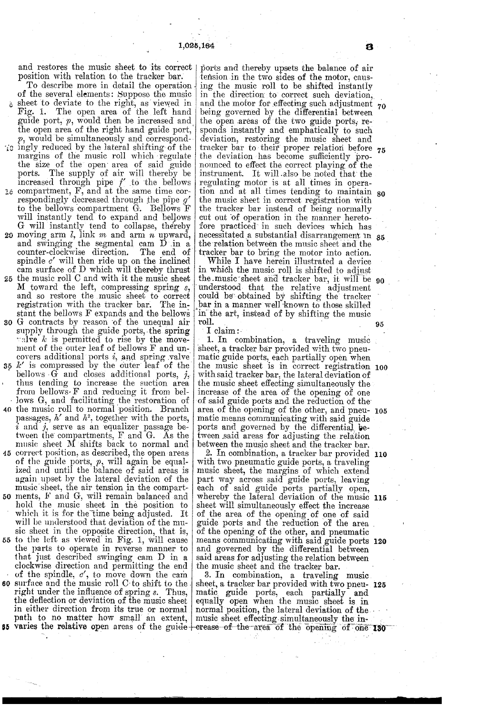and restores the music sheet to its correct ports and thereby upsets the balance of air position with relation to the tracker bar. <br>tension in the two sides of the motor, causposition with relation to the tracker bar.<br>To describe more in detail the operation

of the several elements: Suppose the music  $\delta$  sheet to deviate to the right, as viewed in Fig. 1. The open area of the left hand guide port,  $p$ , would then be increased and the open area of the right hand guide port,  $p$ , would be simultaneously and correspond-

- ic ingly reduced by the lateral shifting of the margins of the music roll which regulate the size of the open area of said guide ports. The supply of air will thereby be increased through pipe  $f'$  to the bellows is compa
- Example the same time correspondingly decreased through the pipe  $g'$  to the bellows compartment G. Bellows F<br>will instantly tend to expand and bellows<br>G will instantly tend to expand and bellows<br>G will instantly tend to
- 20 counter-clockwise direction. spindle  $e'$  will then ride up on the inclined The end of
- cam surface of D which will thereby thrust 25 the music roll C and with it the music sheet M toward the left, compressing spring  $s$ , and so restore the music sheet to correct registration with the tracker bar. The instant the bellows F expands and the bellows
- 30 G contracts by reason of the unequal air<br>supply through the guide ports, the spring ralve k is permitted to rise by the movement of the outer leaf of bellows F and un
- covers additional ports  $\ell$ , and spring valve<br>35  $k'$  is compressed by the outer leaf of the bellows  $\tilde{G}$  and closes additional ports, j, thus tending to increase the suction area. from bellows F and reducing it from bel-Jows G, and facilitating the restoration of
- 4) the music roll to normal position. Branch 45 correct position, as described, the open areas<br>of the guide ports,  $p$ , will again be equal-<br>ized and until the balance of said areas is  $\overline{i}$  and  $\overline{j}$ , serve as an equalizer passage between the compartments, F and G. As the music sheet M shifts back to normal and
- 50 again upset by the lateral deviation of the music sheet, the air tension in the compart-<br>ments, F and G, will remain balanced and<br>hold the music sheet in the position to<br>which it is for the time being adjusted. It 55 will be understood that deviation of the music sheet in the opposite direction, that is, sic sheet in the opposite direction, that is, to the left as viewed in Fig. 1, will cause the parts to operate in reverse manner to that just described swinging cam D in a clockwise direction and permitting the end of the spindle,  $c'$ , to move down the cam 60 surface and the music roll C to shift to the right under the influence of spring s. Thus, the deflection or deviation of the music sheet in either direction from its true or normal
- path to no matter how small an extent, music sheet effecting simultaneously the in-<br> **85 varies the relative open** areas of the gui<del>de erease of the area of</del> the opening of one 130 path to no matter how small an extent,

tension in the two sides of the motor, causing the music roll to be shifted instantly in the direction to correct such deviation, and the motor for effecting such adjustment being governed by the differential between the open areas of the two guide ports, re sponds instantly and emphatically to such deviation, restoring the music sheet and the deviation has become sufficiently pro-<br>the deviation has become sufficiently pro-<br>nounced to effect the correct playing of the instrument. It will also be noted that the regulating motor is at all times in operaregulating motor is at all times in opera-<br>tion and at all times tending to maintain  $\frac{1}{80}$ the music sheet in correct registration with<br>the tracker bar instead of being normally cut out of operation in the manner hereto-<br>fore practiced in such devices which has fore practiced in such devices which has<br>necessitated a substantial disarrangement in 85<br>the relation between the music sheet and the the relation between the music sheet and the tracker bar to bring the motor into action.

While I have herein illustrated a device<br>in which the music roll is shifted to adjust in which the music roll is shifted to adjust the music sheet and tracker bar, it will be understood that the relative adjustment the music sheet and tracker bar, it will be 90 could be obtained by shifting the tracker bar in a manner well known to those skilled<br>in the art, instead of by shifting the music<br>roll.

I claim:<br>1. In combination, a traveling music sheet, a tracker bar provided with two pneu-<br>matic guide ports, each partially open when with said tracker bar, the lateral deviation of<br>the music sheet effecting simultaneously the<br>increase of the area of the opening of one of said guide ports and the reduction of the matic means communicating with said guide ports and governed by the differential between said areas for adjusting the relation between the music sheet and the tracker bar. the music sheet is in correct registration 100 area of the opening of the other, and pneu- 105

with two pneumatic guide ports, a traveling music sheet, the margins of which extend part way across said guide ports, leaving part way across said guide ports, leaving each of said guide ports partially open, whereby the lateral deviation of the music sheet will simultaneously effect the increase of the area of the opening of one of said 2. In combination, a tracker bar provided 110 of the opening of the other, and pneumatic and governed by the differential between said areas for adjusting the relation between the music sheet and the tracker bar.<br>3. In combination, a traveling music means communicating with said guide ports 120

matic guide ports, each partially and equally open when the music sheet is in normal position, the lateral deviation of the sheet, a tracker bar provided with two pneu- 125 normal position, the lateral deviation of the ...<br>music sheet effecting simultaneously the in-

5

70